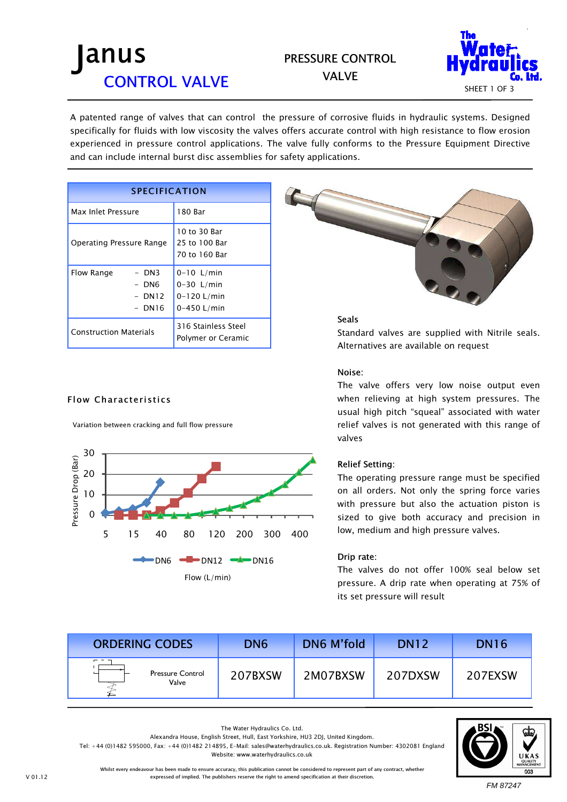## PRESSURE CONTROL



VALVE

A patented range of valves that can control the pressure of corrosive fluids in hydraulic systems. Designed specifically for fluids with low viscosity the valves offers accurate control with high resistance to flow erosion experienced in pressure control applications. The valve fully conforms to the Pressure Equipment Directive and can include internal burst disc assemblies for safety applications.

| <b>SPECIFICATION</b>                                                   |                                                                  |  |  |  |
|------------------------------------------------------------------------|------------------------------------------------------------------|--|--|--|
| Max Inlet Pressure                                                     | 180 Bar                                                          |  |  |  |
| Operating Pressure Range                                               | 10 to 30 Bar<br>25 to 100 Bar<br>70 to 160 Bar                   |  |  |  |
| $-$ DN3<br>Flow Range<br>DN <sub>6</sub><br><b>DN12</b><br><b>DN16</b> | $0-10$ L/min<br>$0 - 30$ L/min<br>$0 - 120$ L/min<br>0-450 L/min |  |  |  |
| <b>Construction Materials</b>                                          | 316 Stainless Steel<br>Polymer or Ceramic                        |  |  |  |

### Flow Characteristics

Variation between cracking and full flow pressure





### Seals

Standard valves are supplied with Nitrile seals. Alternatives are available on request

#### Noise:

The valve offers very low noise output even when relieving at high system pressures. The usual high pitch "squeal" associated with water relief valves is not generated with this range of valves

### Relief Setting:

The operating pressure range must be specified on all orders. Not only the spring force varies with pressure but also the actuation piston is sized to give both accuracy and precision in low, medium and high pressure valves.

#### Drip rate:

The valves do not offer 100% seal below set pressure. A drip rate when operating at 75% of its set pressure will result

| <b>ORDERING CODES</b>            | DN <sub>6</sub> | <b>DN6 M'fold</b> | <b>DN12</b> | <b>DN16</b> |
|----------------------------------|-----------------|-------------------|-------------|-------------|
| <b>Pressure Control</b><br>Valve | 207BXSW         | 2M07BXSW          | 207DXSW     | 207EXSW     |



Whilst every endeavour has been made to ensure accuracy, this publication cannot be considered to represent part of any contract, whether Alexandra House, English Street, Hull, East Yorkshire, HU3 2DJ, United Kingdom. Tel: +44 (0)1482 595000, Fax: +44 (0)1482 214895, E-Mail: sales@waterhydraulics.co.uk. Registration Number: 4302081 England Website: www.waterhydraulics.co.uk

The Water Hydraulics Co. Ltd.

expressed of implied. The publishers reserve the right to amend specification at their discretion.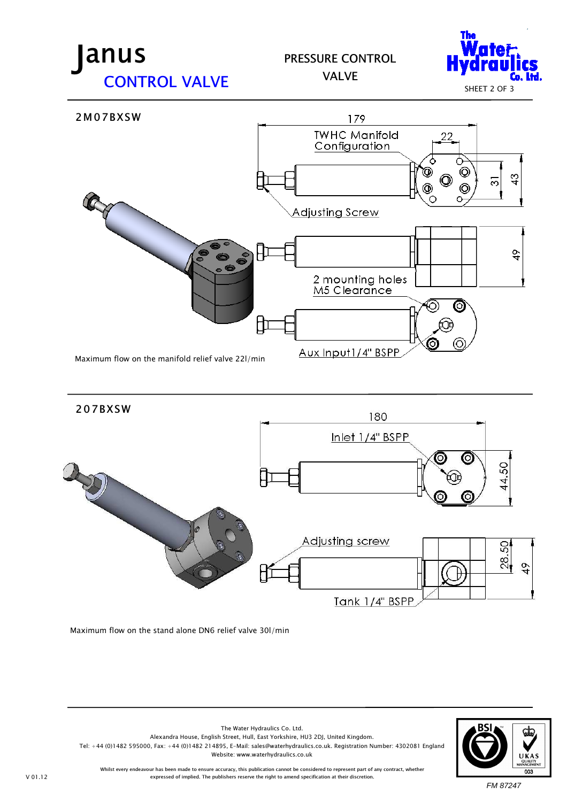## PRESSURE CONTROL VALVE







Maximum flow on the stand alone DN6 relief valve 30l/min



Whilst every endeavour has been made to ensure accuracy, this publication cannot be considered to represent part of any contract, whether expressed of implied. The publishers reserve the right to amend specification at their discretion.

The Water Hydraulics Co. Ltd. Alexandra House, English Street, Hull, East Yorkshire, HU3 2DJ, United Kingdom.

Website: www.waterhydraulics.co.uk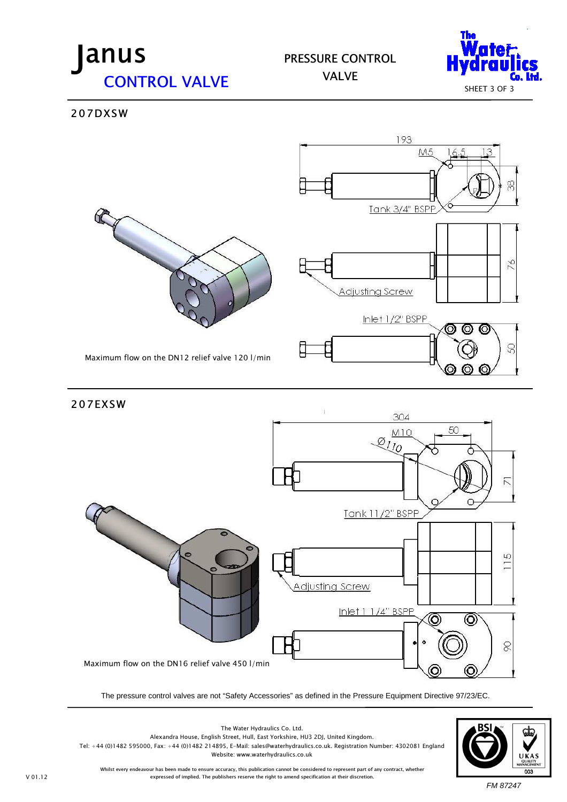PRESSURE CONTROL





207DXSW



The pressure control valves are not "Safety Accessories" as defined in the Pressure Equipment Directive 97/23/EC.



Whilst every endeavour has been made to ensure accuracy, this publication cannot be considered to represent part of any contract, whether expressed of implied. The publishers reserve the right to amend specification at their discretion.

The Water Hydraulics Co. Ltd. Alexandra House, English Street, Hull, East Yorkshire, HU3 2DJ, United Kingdom. Tel: +44 (0)1482 595000, Fax: +44 (0)1482 214895, E-Mail: sales@waterhydraulics.co.uk. Registration Number: 4302081 England Website: www.waterhydraulics.co.uk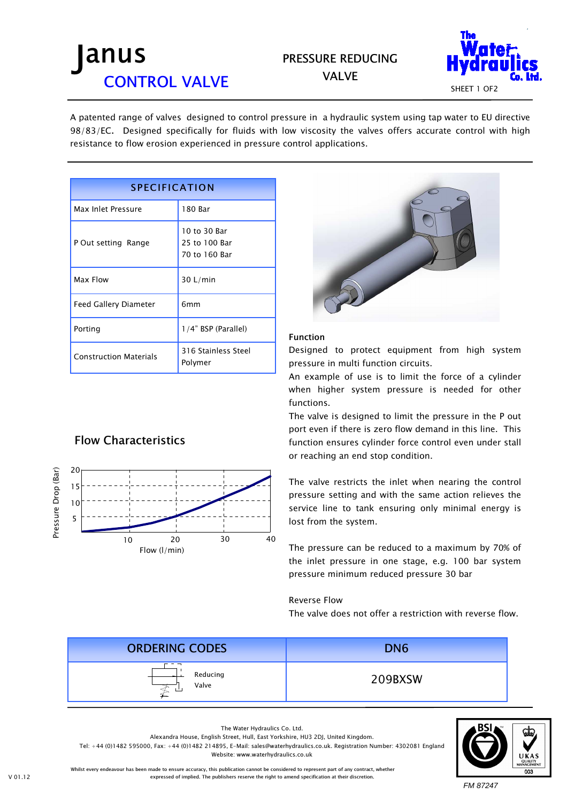## PRESSURE REDUCING VALVE



A patented range of valves designed to control pressure in a hydraulic system using tap water to EU directive 98/83/EC. Designed specifically for fluids with low viscosity the valves offers accurate control with high resistance to flow erosion experienced in pressure control applications.

| <b>SPECIFICATION</b>          |                                                |  |  |
|-------------------------------|------------------------------------------------|--|--|
| Max Inlet Pressure            | 180 Bar                                        |  |  |
| P Out setting Range           | 10 to 30 Bar<br>25 to 100 Bar<br>70 to 160 Bar |  |  |
| Max Flow                      | 30 L/min                                       |  |  |
| <b>Feed Gallery Diameter</b>  | 6 <sub>mm</sub>                                |  |  |
| Porting                       | 1/4" BSP (Parallel)                            |  |  |
| <b>Construction Materials</b> | 316 Stainless Steel<br>Polymer                 |  |  |

## Flow Characteristics





### Function

Designed to protect equipment from high system pressure in multi function circuits.

An example of use is to limit the force of a cylinder when higher system pressure is needed for other functions.

The valve is designed to limit the pressure in the P out port even if there is zero flow demand in this line. This function ensures cylinder force control even under stall or reaching an end stop condition.

The valve restricts the inlet when nearing the control pressure setting and with the same action relieves the service line to tank ensuring only minimal energy is lost from the system.

The pressure can be reduced to a maximum by 70% of the inlet pressure in one stage, e.g. 100 bar system pressure minimum reduced pressure 30 bar

#### Reverse Flow

The valve does not offer a restriction with reverse flow.



The Water Hydraulics Co. Ltd.

Alexandra House, English Street, Hull, East Yorkshire, HU3 2DJ, United Kingdom.

Tel: +44 (0)1482 595000, Fax: +44 (0)1482 214895, E-Mail: sales@waterhydraulics.co.uk. Registration Number: 4302081 England

Website: www.waterhydraulics.co.uk



Whilst every endeavour has been made to ensure accuracy, this publication cannot be considered to represent part of any contract, whether expressed of implied. The publishers reserve the right to amend specification at their discretion.